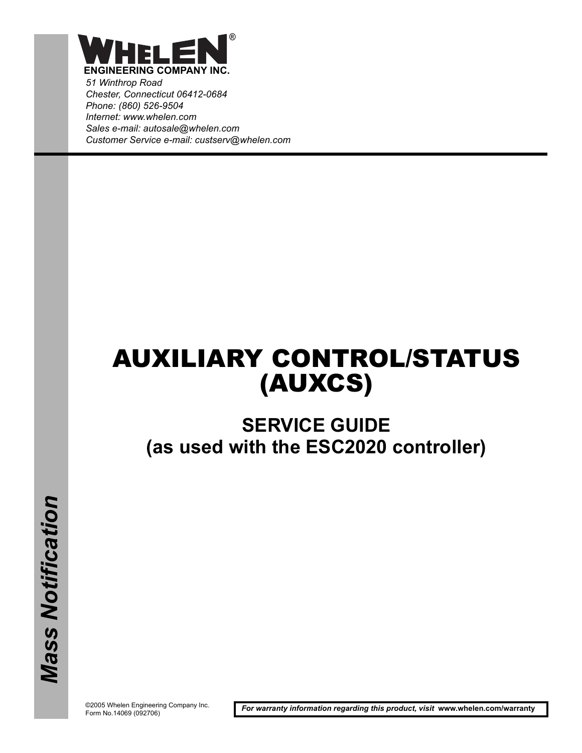

*51 Winthrop Road Chester, Connecticut 06412-0684 Phone: (860) 526-9504 Internet: www.whelen.com Sales e-mail: autosale@whelen.com Customer Service e-mail: custserv@whelen.com*

# AUXILIARY CONTROL/STATUS (AUXCS)

# **SERVICE GUIDE (as used with the ESC2020 controller)**

©2005 Whelen Engineering Company Inc. Form No.14069 (092706)

*For warranty information regarding this product, visit* **www.whelen.com/warranty**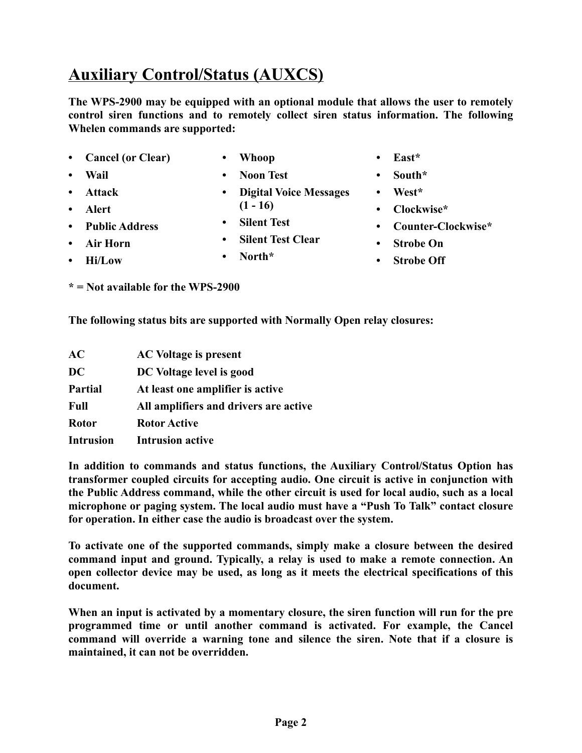**Auxiliary Control/Status (AUXCS)**

**The WPS-2900 may be equipped with an optional module that allows the user to remotely control siren functions and to remotely collect siren status information. The following Whelen commands are supported:**

- **Cancel (or Clear)**
- **Whoop**

**• Wail**

**• Attack**

- **Noon Test**
- **Digital Voice Messages (1 - 16)**
- **Silent Test**
	- **Silent Test Clear**

**• North\***

- **East\***
- **South\***
- **West\***
- **Clockwise\***
- **Counter-Clockwise\***
- **Strobe On**
- **Strobe Off**

**\* = Not available for the WPS-2900**

**The following status bits are supported with Normally Open relay closures:**

| AC               | <b>AC Voltage is present</b>          |
|------------------|---------------------------------------|
| <b>DC</b>        | DC Voltage level is good              |
| <b>Partial</b>   | At least one amplifier is active      |
| <b>Full</b>      | All amplifiers and drivers are active |
| <b>Rotor</b>     | <b>Rotor Active</b>                   |
| <b>Intrusion</b> | <b>Intrusion active</b>               |

**In addition to commands and status functions, the Auxiliary Control/Status Option has transformer coupled circuits for accepting audio. One circuit is active in conjunction with the Public Address command, while the other circuit is used for local audio, such as a local microphone or paging system. The local audio must have a "Push To Talk" contact closure for operation. In either case the audio is broadcast over the system.**

**To activate one of the supported commands, simply make a closure between the desired command input and ground. Typically, a relay is used to make a remote connection. An open collector device may be used, as long as it meets the electrical specifications of this document.**

**When an input is activated by a momentary closure, the siren function will run for the pre programmed time or until another command is activated. For example, the Cancel command will override a warning tone and silence the siren. Note that if a closure is maintained, it can not be overridden.**

- **Alert • Public Address**
- **Air Horn**
	- **Hi/Low**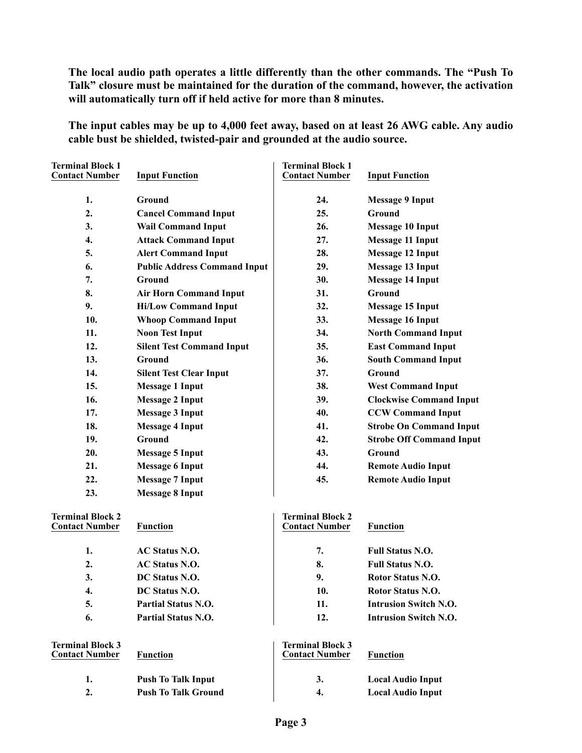**The local audio path operates a little differently than the other commands. The "Push To Talk" closure must be maintained for the duration of the command, however, the activation will automatically turn off if held active for more than 8 minutes.**

**The input cables may be up to 4,000 feet away, based on at least 26 AWG cable. Any audio cable bust be shielded, twisted-pair and grounded at the audio source.**

| <b>Terminal Block 1</b><br><b>Contact Number</b> | <b>Input Function</b>               | <b>Terminal Block 1</b><br><b>Contact Number</b> | <b>Input Function</b>           |
|--------------------------------------------------|-------------------------------------|--------------------------------------------------|---------------------------------|
| 1.                                               | Ground                              | 24.                                              | <b>Message 9 Input</b>          |
| 2.                                               | <b>Cancel Command Input</b>         | 25.                                              | Ground                          |
| 3.                                               | <b>Wail Command Input</b>           | 26.                                              | <b>Message 10 Input</b>         |
| 4.                                               | <b>Attack Command Input</b>         | 27.                                              | <b>Message 11 Input</b>         |
| 5.                                               | <b>Alert Command Input</b>          | 28.                                              | <b>Message 12 Input</b>         |
| 6.                                               | <b>Public Address Command Input</b> | 29.                                              | <b>Message 13 Input</b>         |
| 7.                                               | Ground                              | 30.                                              | <b>Message 14 Input</b>         |
| 8.                                               | <b>Air Horn Command Input</b>       | 31.                                              | Ground                          |
| 9.                                               | <b>Hi/Low Command Input</b>         | 32.                                              | <b>Message 15 Input</b>         |
| 10.                                              | <b>Whoop Command Input</b>          | 33.                                              | <b>Message 16 Input</b>         |
| 11.                                              | <b>Noon Test Input</b>              | 34.                                              | <b>North Command Input</b>      |
| 12.                                              | <b>Silent Test Command Input</b>    | 35.                                              | <b>East Command Input</b>       |
| 13.                                              | Ground                              | 36.                                              | <b>South Command Input</b>      |
| 14.                                              | <b>Silent Test Clear Input</b>      | 37.                                              | <b>Ground</b>                   |
| 15.                                              | <b>Message 1 Input</b>              | 38.                                              | <b>West Command Input</b>       |
| 16.                                              | <b>Message 2 Input</b>              | 39.                                              | <b>Clockwise Command Input</b>  |
| 17.                                              | <b>Message 3 Input</b>              | 40.                                              | <b>CCW Command Input</b>        |
| 18.                                              | <b>Message 4 Input</b>              | 41.                                              | <b>Strobe On Command Input</b>  |
| 19.                                              | Ground                              | 42.                                              | <b>Strobe Off Command Input</b> |
| 20.                                              | <b>Message 5 Input</b>              | 43.                                              | Ground                          |
| 21.                                              | <b>Message 6 Input</b>              | 44.                                              | <b>Remote Audio Input</b>       |
| 22.                                              | <b>Message 7 Input</b>              | 45.                                              | <b>Remote Audio Input</b>       |
| 23.                                              | <b>Message 8 Input</b>              |                                                  |                                 |
|                                                  |                                     |                                                  |                                 |
| <b>Terminal Block 2</b>                          |                                     | <b>Terminal Block 2</b>                          |                                 |
| <b>Contact Number</b>                            | <b>Function</b>                     | <b>Contact Number</b>                            | <b>Function</b>                 |
| 1.                                               | <b>AC Status N.O.</b>               | 7.                                               | <b>Full Status N.O.</b>         |
| 2.                                               | <b>AC Status N.O.</b>               | 8.                                               | <b>Full Status N.O.</b>         |
| 3.                                               | DC Status N.O.                      | 9.                                               | Rotor Status N.O.               |
| 4.                                               | DC Status N.O.                      | 10.                                              | Rotor Status N.O.               |
| 5.                                               | <b>Partial Status N.O.</b>          | 11.                                              | <b>Intrusion Switch N.O.</b>    |
| 6.                                               | <b>Partial Status N.O.</b>          | 12.                                              | <b>Intrusion Switch N.O.</b>    |
| <b>Terminal Block 3</b><br><b>Contact Number</b> | <b>Function</b>                     | <b>Terminal Block 3</b><br><b>Contact Number</b> | <b>Function</b>                 |
| 1.                                               | <b>Push To Talk Input</b>           | 3.                                               | <b>Local Audio Input</b>        |
| 2.                                               | <b>Push To Talk Ground</b>          | 4.                                               | <b>Local Audio Input</b>        |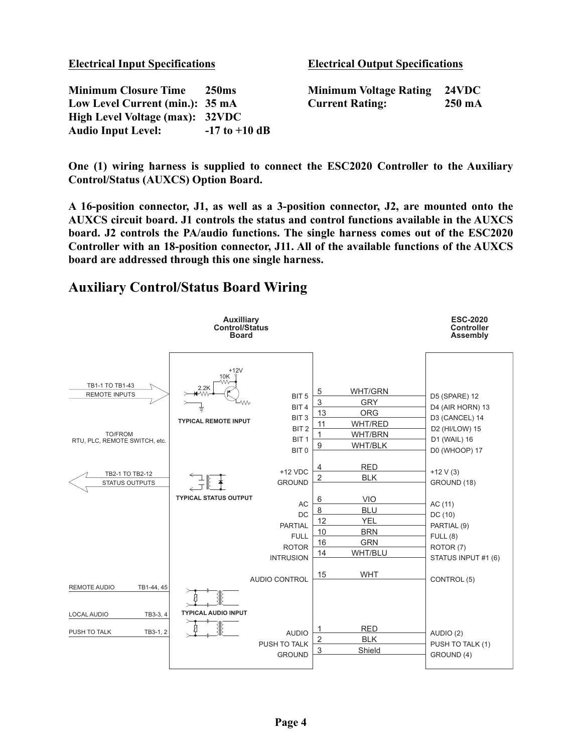| <b>Electrical Input Specifications</b> |                   | <b>Electrical Output Specifications</b> |                  |  |
|----------------------------------------|-------------------|-----------------------------------------|------------------|--|
| <b>Minimum Closure Time</b>            | <b>250</b> ms     | <b>Minimum Voltage Rating</b>           | <b>24VDC</b>     |  |
| Low Level Current (min.): 35 mA        |                   | <b>Current Rating:</b>                  | $250 \text{ mA}$ |  |
| High Level Voltage (max): 32VDC        |                   |                                         |                  |  |
| <b>Audio Input Level:</b>              | $-17$ to $+10$ dB |                                         |                  |  |

**One (1) wiring harness is supplied to connect the ESC2020 Controller to the Auxiliary Control/Status (AUXCS) Option Board.**

**A 16-position connector, J1, as well as a 3-position connector, J2, are mounted onto the AUXCS circuit board. J1 controls the status and control functions available in the AUXCS board. J2 controls the PA/audio functions. The single harness comes out of the ESC2020 Controller with an 18-position connector, J11. All of the available functions of the AUXCS board are addressed through this one single harness.**

## **Auxiliary Control/Status Board Wiring**